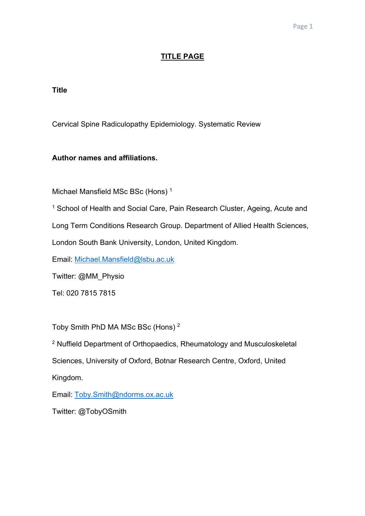# **TITLE PAGE**

**Title**

Cervical Spine Radiculopathy Epidemiology. Systematic Review

# **Author names and affiliations.**

Michael Mansfield MSc BSc (Hons) 1

<sup>1</sup> School of Health and Social Care, Pain Research Cluster, Ageing, Acute and Long Term Conditions Research Group. Department of Allied Health Sciences, London South Bank University, London, United Kingdom.

Email: Michael.Mansfield@lsbu.ac.uk

Twitter: @MM\_Physio

Tel: 020 7815 7815

Toby Smith PhD MA MSc BSc (Hons) <sup>2</sup>

<sup>2</sup> Nuffield Department of Orthopaedics, Rheumatology and Musculoskeletal Sciences, University of Oxford, Botnar Research Centre, Oxford, United Kingdom.

Email: Toby.Smith@ndorms.ox.ac.uk

Twitter: @TobyOSmith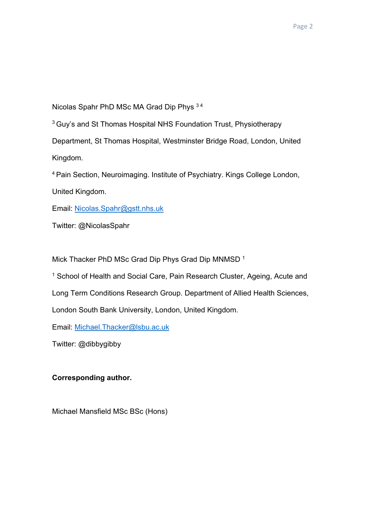Nicolas Spahr PhD MSc MA Grad Dip Phys 3 4

<sup>3</sup> Guy's and St Thomas Hospital NHS Foundation Trust, Physiotherapy

Department, St Thomas Hospital, Westminster Bridge Road, London, United Kingdom.

4 Pain Section, Neuroimaging. Institute of Psychiatry. Kings College London,

United Kingdom.

Email: Nicolas.Spahr@gstt.nhs.uk

Twitter: @NicolasSpahr

Mick Thacker PhD MSc Grad Dip Phys Grad Dip MNMSD<sup>1</sup>

<sup>1</sup> School of Health and Social Care, Pain Research Cluster, Ageing, Acute and

Long Term Conditions Research Group. Department of Allied Health Sciences,

London South Bank University, London, United Kingdom.

Email: Michael.Thacker@lsbu.ac.uk

Twitter: @dibbygibby

# **Corresponding author.**

Michael Mansfield MSc BSc (Hons)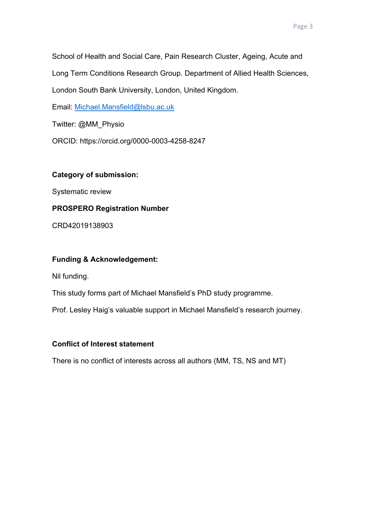School of Health and Social Care, Pain Research Cluster, Ageing, Acute and Long Term Conditions Research Group. Department of Allied Health Sciences, London South Bank University, London, United Kingdom.

Email: Michael.Mansfield@lsbu.ac.uk

Twitter: @MM\_Physio

ORCID: https://orcid.org/0000-0003-4258-8247

# **Category of submission:**

Systematic review

# **PROSPERO Registration Number**

CRD42019138903

# **Funding & Acknowledgement:**

Nil funding.

This study forms part of Michael Mansfield's PhD study programme.

Prof. Lesley Haig's valuable support in Michael Mansfield's research journey.

# **Conflict of Interest statement**

There is no conflict of interests across all authors (MM, TS, NS and MT)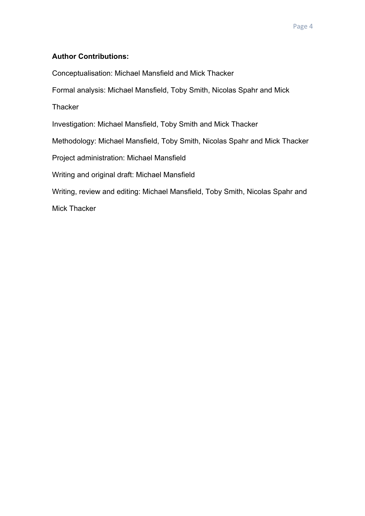# **Author Contributions:**

Conceptualisation: Michael Mansfield and Mick Thacker

Formal analysis: Michael Mansfield, Toby Smith, Nicolas Spahr and Mick

**Thacker** 

Investigation: Michael Mansfield, Toby Smith and Mick Thacker

Methodology: Michael Mansfield, Toby Smith, Nicolas Spahr and Mick Thacker

Project administration: Michael Mansfield

Writing and original draft: Michael Mansfield

Writing, review and editing: Michael Mansfield, Toby Smith, Nicolas Spahr and

Mick Thacker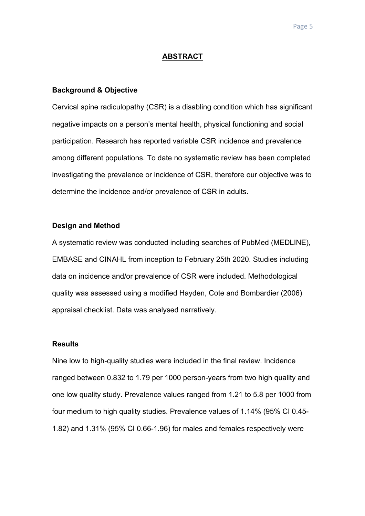## **ABSTRACT**

## **Background & Objective**

Cervical spine radiculopathy (CSR) is a disabling condition which has significant negative impacts on a person's mental health, physical functioning and social participation. Research has reported variable CSR incidence and prevalence among different populations. To date no systematic review has been completed investigating the prevalence or incidence of CSR, therefore our objective was to determine the incidence and/or prevalence of CSR in adults.

#### **Design and Method**

A systematic review was conducted including searches of PubMed (MEDLINE), EMBASE and CINAHL from inception to February 25th 2020. Studies including data on incidence and/or prevalence of CSR were included. Methodological quality was assessed using a modified Hayden, Cote and Bombardier (2006) appraisal checklist. Data was analysed narratively.

#### **Results**

Nine low to high-quality studies were included in the final review. Incidence ranged between 0.832 to 1.79 per 1000 person-years from two high quality and one low quality study. Prevalence values ranged from 1.21 to 5.8 per 1000 from four medium to high quality studies. Prevalence values of 1.14% (95% CI 0.45- 1.82) and 1.31% (95% CI 0.66-1.96) for males and females respectively were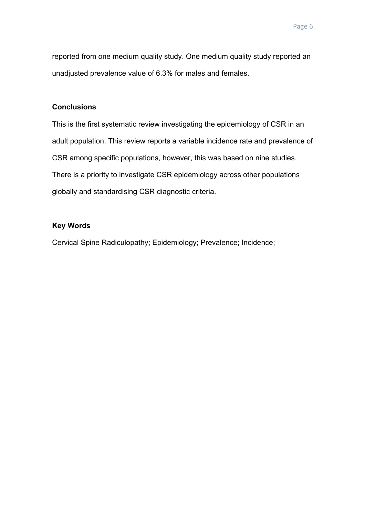reported from one medium quality study. One medium quality study reported an unadjusted prevalence value of 6.3% for males and females.

# **Conclusions**

This is the first systematic review investigating the epidemiology of CSR in an adult population. This review reports a variable incidence rate and prevalence of CSR among specific populations, however, this was based on nine studies. There is a priority to investigate CSR epidemiology across other populations globally and standardising CSR diagnostic criteria.

# **Key Words**

Cervical Spine Radiculopathy; Epidemiology; Prevalence; Incidence;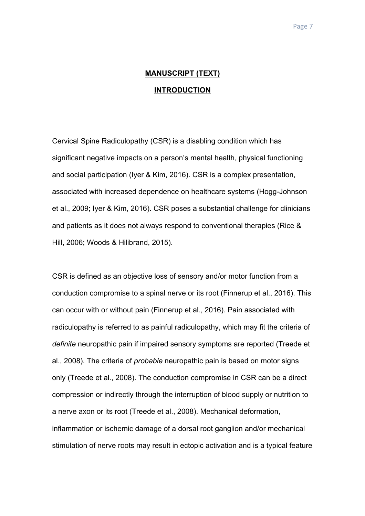# **MANUSCRIPT (TEXT) INTRODUCTION**

Cervical Spine Radiculopathy (CSR) is a disabling condition which has significant negative impacts on a person's mental health, physical functioning and social participation (Iyer & Kim, 2016). CSR is a complex presentation, associated with increased dependence on healthcare systems (Hogg-Johnson et al., 2009; Iyer & Kim, 2016). CSR poses a substantial challenge for clinicians and patients as it does not always respond to conventional therapies (Rice & Hill, 2006; Woods & Hilibrand, 2015).

CSR is defined as an objective loss of sensory and/or motor function from a conduction compromise to a spinal nerve or its root (Finnerup et al., 2016). This can occur with or without pain (Finnerup et al., 2016). Pain associated with radiculopathy is referred to as painful radiculopathy, which may fit the criteria of *definite* neuropathic pain if impaired sensory symptoms are reported (Treede et al., 2008). The criteria of *probable* neuropathic pain is based on motor signs only (Treede et al., 2008). The conduction compromise in CSR can be a direct compression or indirectly through the interruption of blood supply or nutrition to a nerve axon or its root (Treede et al., 2008). Mechanical deformation, inflammation or ischemic damage of a dorsal root ganglion and/or mechanical stimulation of nerve roots may result in ectopic activation and is a typical feature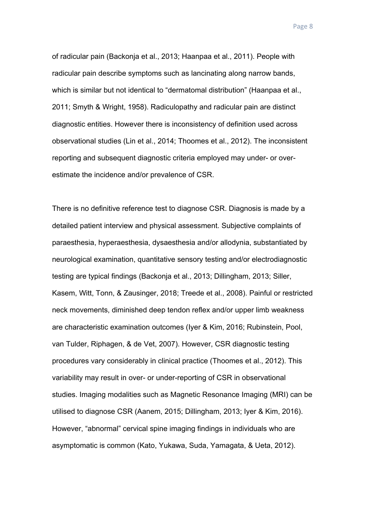of radicular pain (Backonja et al., 2013; Haanpaa et al., 2011). People with radicular pain describe symptoms such as lancinating along narrow bands, which is similar but not identical to "dermatomal distribution" (Haanpaa et al., 2011; Smyth & Wright, 1958). Radiculopathy and radicular pain are distinct diagnostic entities. However there is inconsistency of definition used across observational studies (Lin et al., 2014; Thoomes et al., 2012). The inconsistent reporting and subsequent diagnostic criteria employed may under- or overestimate the incidence and/or prevalence of CSR.

There is no definitive reference test to diagnose CSR. Diagnosis is made by a detailed patient interview and physical assessment. Subjective complaints of paraesthesia, hyperaesthesia, dysaesthesia and/or allodynia, substantiated by neurological examination, quantitative sensory testing and/or electrodiagnostic testing are typical findings (Backonja et al., 2013; Dillingham, 2013; Siller, Kasem, Witt, Tonn, & Zausinger, 2018; Treede et al., 2008). Painful or restricted neck movements, diminished deep tendon reflex and/or upper limb weakness are characteristic examination outcomes (Iyer & Kim, 2016; Rubinstein, Pool, van Tulder, Riphagen, & de Vet, 2007). However, CSR diagnostic testing procedures vary considerably in clinical practice (Thoomes et al., 2012). This variability may result in over- or under-reporting of CSR in observational studies. Imaging modalities such as Magnetic Resonance Imaging (MRI) can be utilised to diagnose CSR (Aanem, 2015; Dillingham, 2013; Iyer & Kim, 2016). However, "abnormal" cervical spine imaging findings in individuals who are asymptomatic is common (Kato, Yukawa, Suda, Yamagata, & Ueta, 2012).

Page 8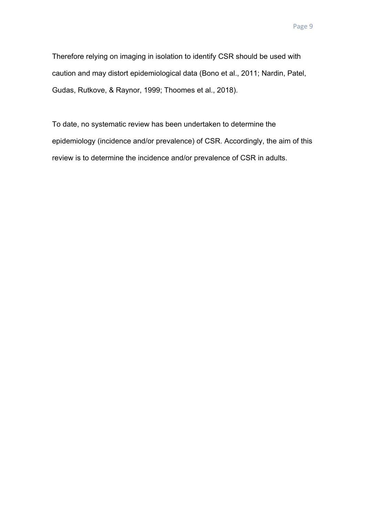Therefore relying on imaging in isolation to identify CSR should be used with caution and may distort epidemiological data (Bono et al., 2011; Nardin, Patel, Gudas, Rutkove, & Raynor, 1999; Thoomes et al., 2018).

To date, no systematic review has been undertaken to determine the epidemiology (incidence and/or prevalence) of CSR. Accordingly, the aim of this review is to determine the incidence and/or prevalence of CSR in adults.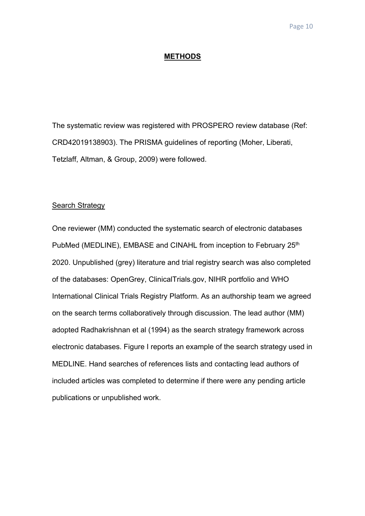## **METHODS**

The systematic review was registered with PROSPERO review database (Ref: CRD42019138903). The PRISMA guidelines of reporting (Moher, Liberati, Tetzlaff, Altman, & Group, 2009) were followed.

## Search Strategy

One reviewer (MM) conducted the systematic search of electronic databases PubMed (MEDLINE), EMBASE and CINAHL from inception to February 25<sup>th</sup> 2020. Unpublished (grey) literature and trial registry search was also completed of the databases: OpenGrey, ClinicalTrials.gov, NIHR portfolio and WHO International Clinical Trials Registry Platform. As an authorship team we agreed on the search terms collaboratively through discussion. The lead author (MM) adopted Radhakrishnan et al (1994) as the search strategy framework across electronic databases. Figure I reports an example of the search strategy used in MEDLINE. Hand searches of references lists and contacting lead authors of included articles was completed to determine if there were any pending article publications or unpublished work.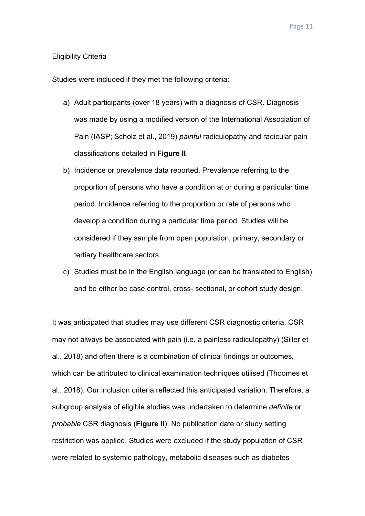## Eligibility Criteria

Studies were included if they met the following criteria:

- a) Adult participants (over 18 years) with a diagnosis of CSR. Diagnosis was made by using a modified version of the International Association of Pain (IASP; Scholz et al., 2019) *painful* radiculopathy and radicular pain classifications detailed in **Figure II**.
- b) Incidence or prevalence data reported. Prevalence referring to the proportion of persons who have a condition at or during a particular time period. Incidence referring to the proportion or rate of persons who develop a condition during a particular time period. Studies will be considered if they sample from open population, primary, secondary or tertiary healthcare sectors.
- c) Studies must be in the English language (or can be translated to English) and be either be case control, cross- sectional, or cohort study design.

It was anticipated that studies may use different CSR diagnostic criteria. CSR may not always be associated with pain (i.e. a painless radiculopathy) (Siller et al., 2018) and often there is a combination of clinical findings or outcomes, which can be attributed to clinical examination techniques utilised (Thoomes et al., 2018). Our inclusion criteria reflected this anticipated variation. Therefore, a subgroup analysis of eligible studies was undertaken to determine *definite* or *probable* CSR diagnosis (**Figure II**). No publication date or study setting restriction was applied. Studies were excluded if the study population of CSR were related to systemic pathology, metabolic diseases such as diabetes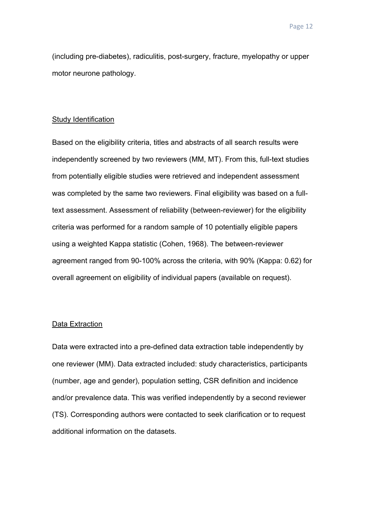(including pre-diabetes), radiculitis, post-surgery, fracture, myelopathy or upper motor neurone pathology.

## Study Identification

Based on the eligibility criteria, titles and abstracts of all search results were independently screened by two reviewers (MM, MT). From this, full-text studies from potentially eligible studies were retrieved and independent assessment was completed by the same two reviewers. Final eligibility was based on a fulltext assessment. Assessment of reliability (between-reviewer) for the eligibility criteria was performed for a random sample of 10 potentially eligible papers using a weighted Kappa statistic (Cohen, 1968). The between-reviewer agreement ranged from 90-100% across the criteria, with 90% (Kappa: 0.62) for overall agreement on eligibility of individual papers (available on request).

#### Data Extraction

Data were extracted into a pre-defined data extraction table independently by one reviewer (MM). Data extracted included: study characteristics, participants (number, age and gender), population setting, CSR definition and incidence and/or prevalence data. This was verified independently by a second reviewer (TS). Corresponding authors were contacted to seek clarification or to request additional information on the datasets.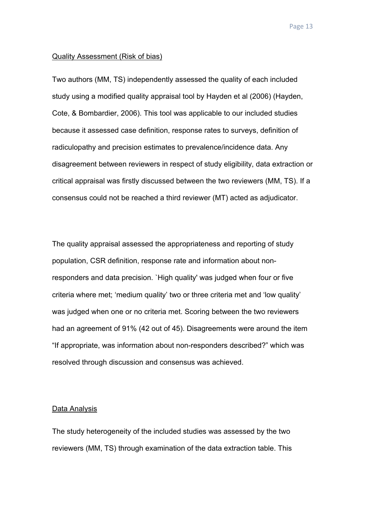#### Quality Assessment (Risk of bias)

Two authors (MM, TS) independently assessed the quality of each included study using a modified quality appraisal tool by Hayden et al (2006) (Hayden, Cote, & Bombardier, 2006). This tool was applicable to our included studies because it assessed case definition, response rates to surveys, definition of radiculopathy and precision estimates to prevalence/incidence data. Any disagreement between reviewers in respect of study eligibility, data extraction or critical appraisal was firstly discussed between the two reviewers (MM, TS). If a consensus could not be reached a third reviewer (MT) acted as adjudicator.

The quality appraisal assessed the appropriateness and reporting of study population, CSR definition, response rate and information about nonresponders and data precision. `High quality' was judged when four or five criteria where met; 'medium quality' two or three criteria met and 'low quality' was judged when one or no criteria met. Scoring between the two reviewers had an agreement of 91% (42 out of 45). Disagreements were around the item "If appropriate, was information about non-responders described?" which was resolved through discussion and consensus was achieved.

#### Data Analysis

The study heterogeneity of the included studies was assessed by the two reviewers (MM, TS) through examination of the data extraction table. This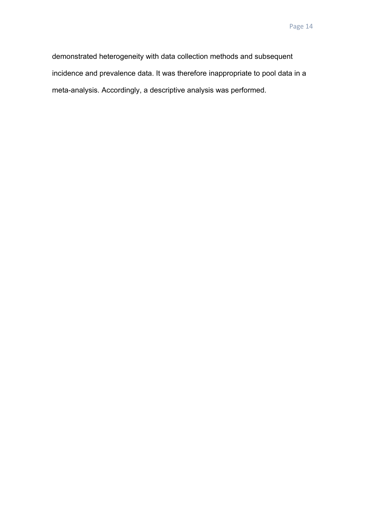demonstrated heterogeneity with data collection methods and subsequent incidence and prevalence data. It was therefore inappropriate to pool data in a meta-analysis. Accordingly, a descriptive analysis was performed.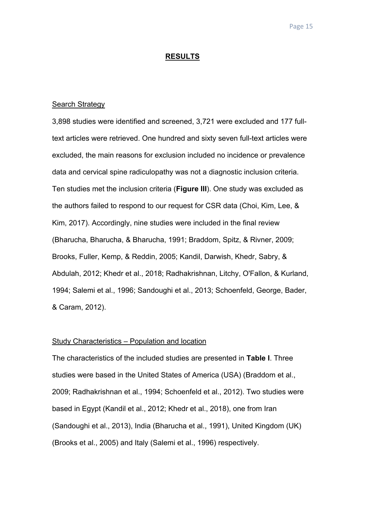#### **RESULTS**

#### Search Strategy

3,898 studies were identified and screened, 3,721 were excluded and 177 fulltext articles were retrieved. One hundred and sixty seven full-text articles were excluded, the main reasons for exclusion included no incidence or prevalence data and cervical spine radiculopathy was not a diagnostic inclusion criteria. Ten studies met the inclusion criteria (**Figure III**). One study was excluded as the authors failed to respond to our request for CSR data (Choi, Kim, Lee, & Kim, 2017). Accordingly, nine studies were included in the final review (Bharucha, Bharucha, & Bharucha, 1991; Braddom, Spitz, & Rivner, 2009; Brooks, Fuller, Kemp, & Reddin, 2005; Kandil, Darwish, Khedr, Sabry, & Abdulah, 2012; Khedr et al., 2018; Radhakrishnan, Litchy, O'Fallon, & Kurland, 1994; Salemi et al., 1996; Sandoughi et al., 2013; Schoenfeld, George, Bader, & Caram, 2012).

## Study Characteristics – Population and location

The characteristics of the included studies are presented in **Table I**. Three studies were based in the United States of America (USA) (Braddom et al., 2009; Radhakrishnan et al., 1994; Schoenfeld et al., 2012). Two studies were based in Egypt (Kandil et al., 2012; Khedr et al., 2018), one from Iran (Sandoughi et al., 2013), India (Bharucha et al., 1991), United Kingdom (UK) (Brooks et al., 2005) and Italy (Salemi et al., 1996) respectively.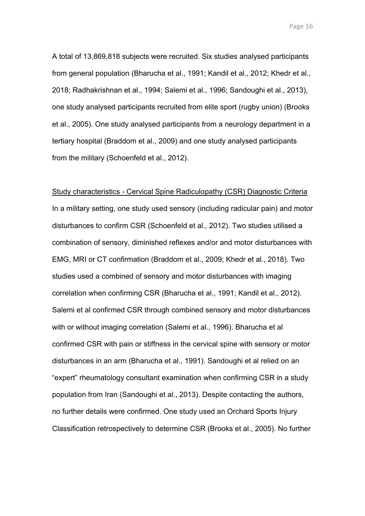A total of 13,869,818 subjects were recruited. Six studies analysed participants from general population (Bharucha et al., 1991; Kandil et al., 2012; Khedr et al., 2018; Radhakrishnan et al., 1994; Salemi et al., 1996; Sandoughi et al., 2013), one study analysed participants recruited from elite sport (rugby union) (Brooks et al., 2005). One study analysed participants from a neurology department in a tertiary hospital (Braddom et al., 2009) and one study analysed participants from the military (Schoenfeld et al., 2012).

Study characteristics - Cervical Spine Radiculopathy (CSR) Diagnostic Criteria In a military setting, one study used sensory (including radicular pain) and motor disturbances to confirm CSR (Schoenfeld et al., 2012). Two studies utilised a combination of sensory, diminished reflexes and/or and motor disturbances with EMG, MRI or CT confirmation (Braddom et al., 2009; Khedr et al., 2018). Two studies used a combined of sensory and motor disturbances with imaging correlation when confirming CSR (Bharucha et al., 1991; Kandil et al., 2012). Salemi et al confirmed CSR through combined sensory and motor disturbances with or without imaging correlation (Salemi et al., 1996). Bharucha et al confirmed CSR with pain or stiffness in the cervical spine with sensory or motor disturbances in an arm (Bharucha et al., 1991). Sandoughi et al relied on an "expert" rheumatology consultant examination when confirming CSR in a study population from Iran (Sandoughi et al., 2013). Despite contacting the authors, no further details were confirmed. One study used an Orchard Sports Injury Classification retrospectively to determine CSR (Brooks et al., 2005). No further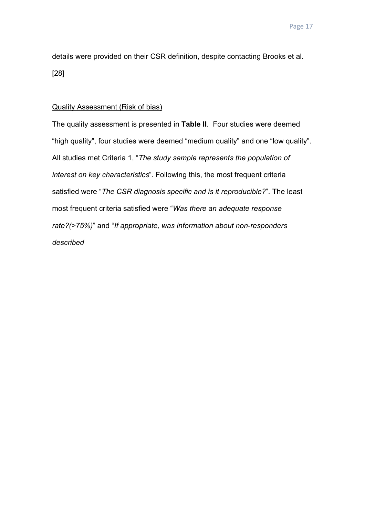details were provided on their CSR definition, despite contacting Brooks et al. [28]

#### Quality Assessment (Risk of bias)

The quality assessment is presented in **Table II**. Four studies were deemed "high quality", four studies were deemed "medium quality" and one "low quality". All studies met Criteria 1, "*The study sample represents the population of interest on key characteristics*". Following this, the most frequent criteria satisfied were "*The CSR diagnosis specific and is it reproducible?*". The least most frequent criteria satisfied were "*Was there an adequate response rate?(>75%)*" and "*If appropriate, was information about non-responders described*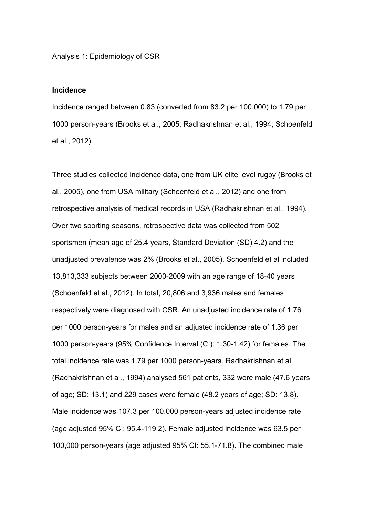#### Analysis 1: Epidemiology of CSR

## **Incidence**

Incidence ranged between 0.83 (converted from 83.2 per 100,000) to 1.79 per 1000 person-years (Brooks et al., 2005; Radhakrishnan et al., 1994; Schoenfeld et al., 2012).

Three studies collected incidence data, one from UK elite level rugby (Brooks et al., 2005), one from USA military (Schoenfeld et al., 2012) and one from retrospective analysis of medical records in USA (Radhakrishnan et al., 1994). Over two sporting seasons, retrospective data was collected from 502 sportsmen (mean age of 25.4 years, Standard Deviation (SD) 4.2) and the unadjusted prevalence was 2% (Brooks et al., 2005). Schoenfeld et al included 13,813,333 subjects between 2000-2009 with an age range of 18-40 years (Schoenfeld et al., 2012). In total, 20,806 and 3,936 males and females respectively were diagnosed with CSR. An unadjusted incidence rate of 1.76 per 1000 person-years for males and an adjusted incidence rate of 1.36 per 1000 person-years (95% Confidence Interval (CI): 1.30-1.42) for females. The total incidence rate was 1.79 per 1000 person-years. Radhakrishnan et al (Radhakrishnan et al., 1994) analysed 561 patients, 332 were male (47.6 years of age; SD: 13.1) and 229 cases were female (48.2 years of age; SD: 13.8). Male incidence was 107.3 per 100,000 person-years adjusted incidence rate (age adjusted 95% CI: 95.4-119.2). Female adjusted incidence was 63.5 per 100,000 person-years (age adjusted 95% CI: 55.1-71.8). The combined male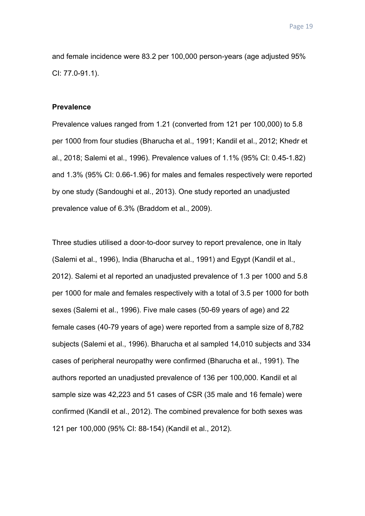and female incidence were 83.2 per 100,000 person-years (age adjusted 95% CI: 77.0-91.1).

## **Prevalence**

Prevalence values ranged from 1.21 (converted from 121 per 100,000) to 5.8 per 1000 from four studies (Bharucha et al., 1991; Kandil et al., 2012; Khedr et al., 2018; Salemi et al., 1996). Prevalence values of 1.1% (95% CI: 0.45-1.82) and 1.3% (95% CI: 0.66-1.96) for males and females respectively were reported by one study (Sandoughi et al., 2013). One study reported an unadjusted prevalence value of 6.3% (Braddom et al., 2009).

Three studies utilised a door-to-door survey to report prevalence, one in Italy (Salemi et al., 1996), India (Bharucha et al., 1991) and Egypt (Kandil et al., 2012). Salemi et al reported an unadjusted prevalence of 1.3 per 1000 and 5.8 per 1000 for male and females respectively with a total of 3.5 per 1000 for both sexes (Salemi et al., 1996). Five male cases (50-69 years of age) and 22 female cases (40-79 years of age) were reported from a sample size of 8,782 subjects (Salemi et al., 1996). Bharucha et al sampled 14,010 subjects and 334 cases of peripheral neuropathy were confirmed (Bharucha et al., 1991). The authors reported an unadjusted prevalence of 136 per 100,000. Kandil et al sample size was 42,223 and 51 cases of CSR (35 male and 16 female) were confirmed (Kandil et al., 2012). The combined prevalence for both sexes was 121 per 100,000 (95% CI: 88-154) (Kandil et al., 2012).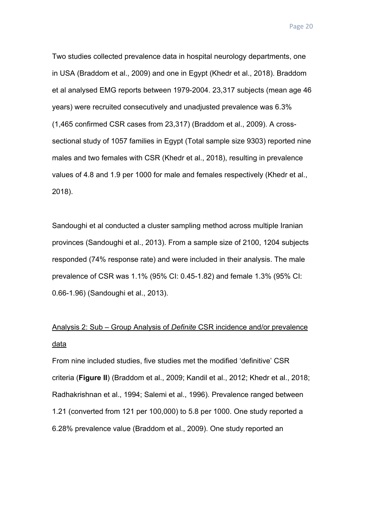Two studies collected prevalence data in hospital neurology departments, one in USA (Braddom et al., 2009) and one in Egypt (Khedr et al., 2018). Braddom et al analysed EMG reports between 1979-2004. 23,317 subjects (mean age 46 years) were recruited consecutively and unadjusted prevalence was 6.3% (1,465 confirmed CSR cases from 23,317) (Braddom et al., 2009). A crosssectional study of 1057 families in Egypt (Total sample size 9303) reported nine males and two females with CSR (Khedr et al., 2018), resulting in prevalence values of 4.8 and 1.9 per 1000 for male and females respectively (Khedr et al., 2018).

Sandoughi et al conducted a cluster sampling method across multiple Iranian provinces (Sandoughi et al., 2013). From a sample size of 2100, 1204 subjects responded (74% response rate) and were included in their analysis. The male prevalence of CSR was 1.1% (95% CI: 0.45-1.82) and female 1.3% (95% CI: 0.66-1.96) (Sandoughi et al., 2013).

# Analysis 2: Sub – Group Analysis of *Definite* CSR incidence and/or prevalence data

From nine included studies, five studies met the modified 'definitive' CSR criteria (**Figure II**) (Braddom et al., 2009; Kandil et al., 2012; Khedr et al., 2018; Radhakrishnan et al., 1994; Salemi et al., 1996). Prevalence ranged between 1.21 (converted from 121 per 100,000) to 5.8 per 1000. One study reported a 6.28% prevalence value (Braddom et al., 2009). One study reported an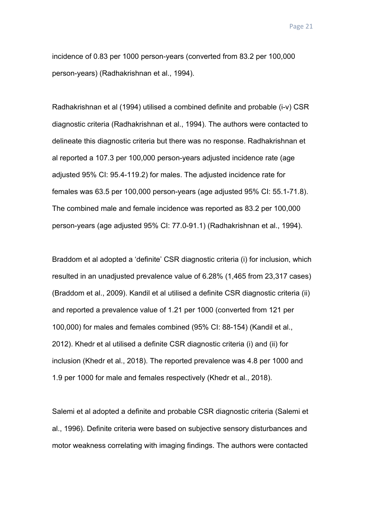incidence of 0.83 per 1000 person-years (converted from 83.2 per 100,000 person-years) (Radhakrishnan et al., 1994).

Radhakrishnan et al (1994) utilised a combined definite and probable (i-v) CSR diagnostic criteria (Radhakrishnan et al., 1994). The authors were contacted to delineate this diagnostic criteria but there was no response. Radhakrishnan et al reported a 107.3 per 100,000 person-years adjusted incidence rate (age adjusted 95% CI: 95.4-119.2) for males. The adjusted incidence rate for females was 63.5 per 100,000 person-years (age adjusted 95% CI: 55.1-71.8). The combined male and female incidence was reported as 83.2 per 100,000 person-years (age adjusted 95% CI: 77.0-91.1) (Radhakrishnan et al., 1994).

Braddom et al adopted a 'definite' CSR diagnostic criteria (i) for inclusion, which resulted in an unadjusted prevalence value of 6.28% (1,465 from 23,317 cases) (Braddom et al., 2009). Kandil et al utilised a definite CSR diagnostic criteria (ii) and reported a prevalence value of 1.21 per 1000 (converted from 121 per 100,000) for males and females combined (95% CI: 88-154) (Kandil et al., 2012). Khedr et al utilised a definite CSR diagnostic criteria (i) and (ii) for inclusion (Khedr et al., 2018). The reported prevalence was 4.8 per 1000 and 1.9 per 1000 for male and females respectively (Khedr et al., 2018).

Salemi et al adopted a definite and probable CSR diagnostic criteria (Salemi et al., 1996). Definite criteria were based on subjective sensory disturbances and motor weakness correlating with imaging findings. The authors were contacted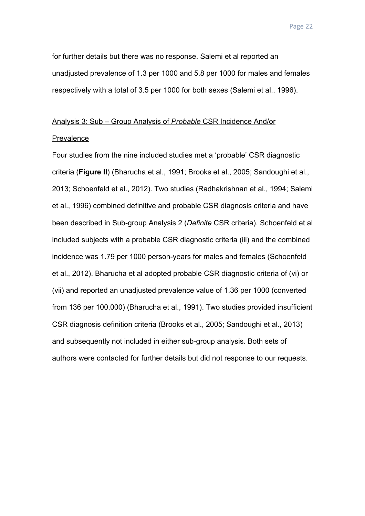for further details but there was no response. Salemi et al reported an unadjusted prevalence of 1.3 per 1000 and 5.8 per 1000 for males and females respectively with a total of 3.5 per 1000 for both sexes (Salemi et al., 1996).

# Analysis 3: Sub – Group Analysis of *Probable* CSR Incidence And/or

#### Prevalence

Four studies from the nine included studies met a 'probable' CSR diagnostic criteria (**Figure II**) (Bharucha et al., 1991; Brooks et al., 2005; Sandoughi et al., 2013; Schoenfeld et al., 2012). Two studies (Radhakrishnan et al., 1994; Salemi et al., 1996) combined definitive and probable CSR diagnosis criteria and have been described in Sub-group Analysis 2 (*Definite* CSR criteria). Schoenfeld et al included subjects with a probable CSR diagnostic criteria (iii) and the combined incidence was 1.79 per 1000 person-years for males and females (Schoenfeld et al., 2012). Bharucha et al adopted probable CSR diagnostic criteria of (vi) or (vii) and reported an unadjusted prevalence value of 1.36 per 1000 (converted from 136 per 100,000) (Bharucha et al., 1991). Two studies provided insufficient CSR diagnosis definition criteria (Brooks et al., 2005; Sandoughi et al., 2013) and subsequently not included in either sub-group analysis. Both sets of authors were contacted for further details but did not response to our requests.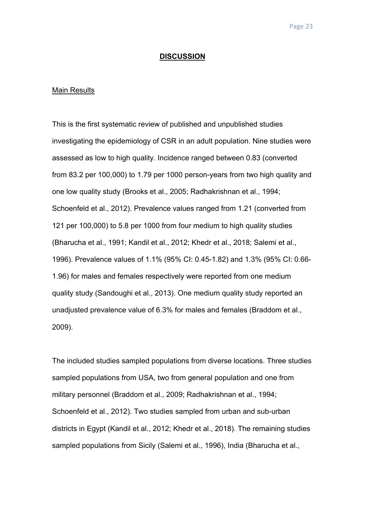#### **DISCUSSION**

#### Main Results

This is the first systematic review of published and unpublished studies investigating the epidemiology of CSR in an adult population. Nine studies were assessed as low to high quality. Incidence ranged between 0.83 (converted from 83.2 per 100,000) to 1.79 per 1000 person-years from two high quality and one low quality study (Brooks et al., 2005; Radhakrishnan et al., 1994; Schoenfeld et al., 2012). Prevalence values ranged from 1.21 (converted from 121 per 100,000) to 5.8 per 1000 from four medium to high quality studies (Bharucha et al., 1991; Kandil et al., 2012; Khedr et al., 2018; Salemi et al., 1996). Prevalence values of 1.1% (95% CI: 0.45-1.82) and 1.3% (95% CI: 0.66- 1.96) for males and females respectively were reported from one medium quality study (Sandoughi et al., 2013). One medium quality study reported an unadjusted prevalence value of 6.3% for males and females (Braddom et al., 2009).

The included studies sampled populations from diverse locations. Three studies sampled populations from USA, two from general population and one from military personnel (Braddom et al., 2009; Radhakrishnan et al., 1994; Schoenfeld et al., 2012). Two studies sampled from urban and sub-urban districts in Egypt (Kandil et al., 2012; Khedr et al., 2018). The remaining studies sampled populations from Sicily (Salemi et al., 1996), India (Bharucha et al.,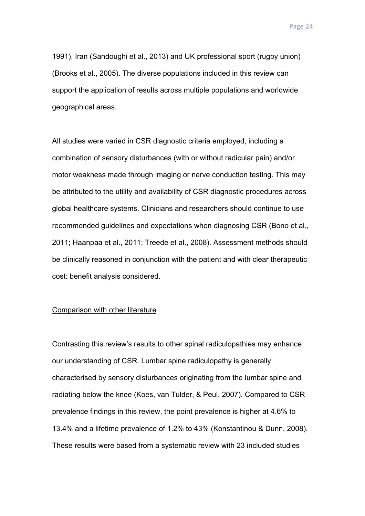1991), Iran (Sandoughi et al., 2013) and UK professional sport (rugby union) (Brooks et al., 2005). The diverse populations included in this review can support the application of results across multiple populations and worldwide geographical areas.

All studies were varied in CSR diagnostic criteria employed, including a combination of sensory disturbances (with or without radicular pain) and/or motor weakness made through imaging or nerve conduction testing. This may be attributed to the utility and availability of CSR diagnostic procedures across global healthcare systems. Clinicians and researchers should continue to use recommended guidelines and expectations when diagnosing CSR (Bono et al., 2011; Haanpaa et al., 2011; Treede et al., 2008). Assessment methods should be clinically reasoned in conjunction with the patient and with clear therapeutic cost: benefit analysis considered.

## Comparison with other literature

Contrasting this review's results to other spinal radiculopathies may enhance our understanding of CSR. Lumbar spine radiculopathy is generally characterised by sensory disturbances originating from the lumbar spine and radiating below the knee (Koes, van Tulder, & Peul, 2007). Compared to CSR prevalence findings in this review, the point prevalence is higher at 4.6% to 13.4% and a lifetime prevalence of 1.2% to 43% (Konstantinou & Dunn, 2008). These results were based from a systematic review with 23 included studies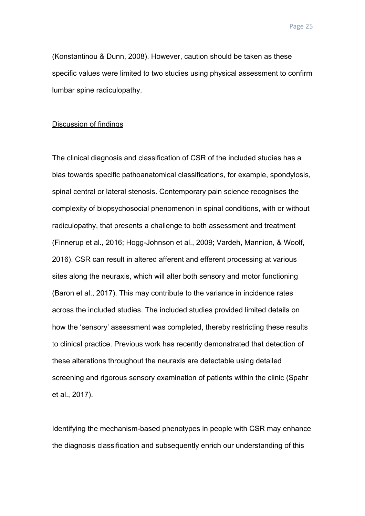(Konstantinou & Dunn, 2008). However, caution should be taken as these specific values were limited to two studies using physical assessment to confirm lumbar spine radiculopathy.

## Discussion of findings

The clinical diagnosis and classification of CSR of the included studies has a bias towards specific pathoanatomical classifications, for example, spondylosis, spinal central or lateral stenosis. Contemporary pain science recognises the complexity of biopsychosocial phenomenon in spinal conditions, with or without radiculopathy, that presents a challenge to both assessment and treatment (Finnerup et al., 2016; Hogg-Johnson et al., 2009; Vardeh, Mannion, & Woolf, 2016). CSR can result in altered afferent and efferent processing at various sites along the neuraxis, which will alter both sensory and motor functioning (Baron et al., 2017). This may contribute to the variance in incidence rates across the included studies. The included studies provided limited details on how the 'sensory' assessment was completed, thereby restricting these results to clinical practice. Previous work has recently demonstrated that detection of these alterations throughout the neuraxis are detectable using detailed screening and rigorous sensory examination of patients within the clinic (Spahr et al., 2017).

Identifying the mechanism-based phenotypes in people with CSR may enhance the diagnosis classification and subsequently enrich our understanding of this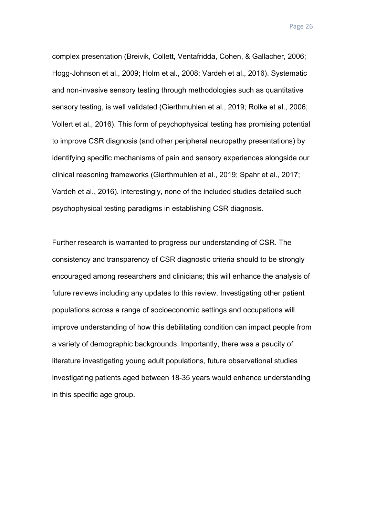complex presentation (Breivik, Collett, Ventafridda, Cohen, & Gallacher, 2006; Hogg-Johnson et al., 2009; Holm et al., 2008; Vardeh et al., 2016). Systematic and non-invasive sensory testing through methodologies such as quantitative sensory testing, is well validated (Gierthmuhlen et al., 2019; Rolke et al., 2006; Vollert et al., 2016). This form of psychophysical testing has promising potential to improve CSR diagnosis (and other peripheral neuropathy presentations) by identifying specific mechanisms of pain and sensory experiences alongside our clinical reasoning frameworks (Gierthmuhlen et al., 2019; Spahr et al., 2017; Vardeh et al., 2016). Interestingly, none of the included studies detailed such psychophysical testing paradigms in establishing CSR diagnosis.

Further research is warranted to progress our understanding of CSR. The consistency and transparency of CSR diagnostic criteria should to be strongly encouraged among researchers and clinicians; this will enhance the analysis of future reviews including any updates to this review. Investigating other patient populations across a range of socioeconomic settings and occupations will improve understanding of how this debilitating condition can impact people from a variety of demographic backgrounds. Importantly, there was a paucity of literature investigating young adult populations, future observational studies investigating patients aged between 18-35 years would enhance understanding in this specific age group.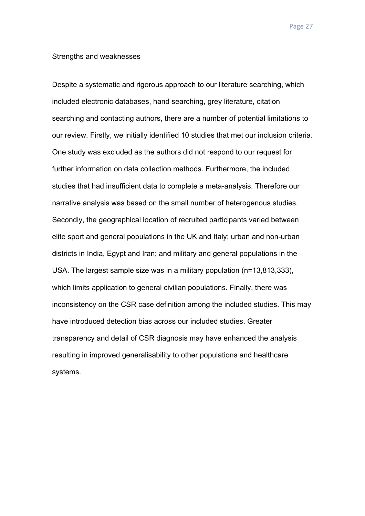#### Strengths and weaknesses

Despite a systematic and rigorous approach to our literature searching, which included electronic databases, hand searching, grey literature, citation searching and contacting authors, there are a number of potential limitations to our review. Firstly, we initially identified 10 studies that met our inclusion criteria. One study was excluded as the authors did not respond to our request for further information on data collection methods. Furthermore, the included studies that had insufficient data to complete a meta-analysis. Therefore our narrative analysis was based on the small number of heterogenous studies. Secondly, the geographical location of recruited participants varied between elite sport and general populations in the UK and Italy; urban and non-urban districts in India, Egypt and Iran; and military and general populations in the USA. The largest sample size was in a military population (n=13,813,333), which limits application to general civilian populations. Finally, there was inconsistency on the CSR case definition among the included studies. This may have introduced detection bias across our included studies. Greater transparency and detail of CSR diagnosis may have enhanced the analysis resulting in improved generalisability to other populations and healthcare systems.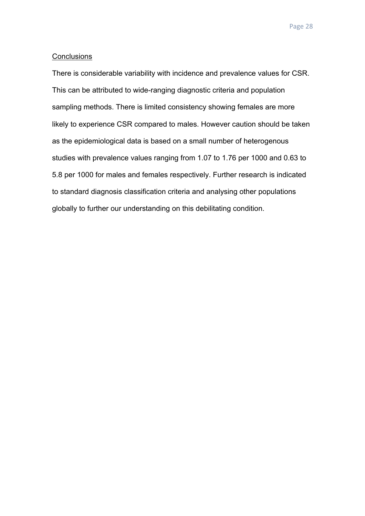#### **Conclusions**

There is considerable variability with incidence and prevalence values for CSR. This can be attributed to wide-ranging diagnostic criteria and population sampling methods. There is limited consistency showing females are more likely to experience CSR compared to males. However caution should be taken as the epidemiological data is based on a small number of heterogenous studies with prevalence values ranging from 1.07 to 1.76 per 1000 and 0.63 to 5.8 per 1000 for males and females respectively. Further research is indicated to standard diagnosis classification criteria and analysing other populations globally to further our understanding on this debilitating condition.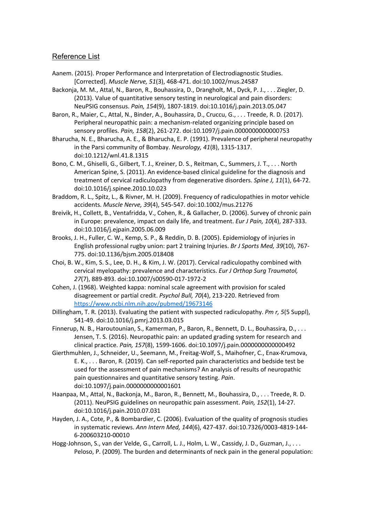## Reference List

- Aanem. (2015). Proper Performance and Interpretation of Electrodiagnostic Studies. [Corrected]. *Muscle Nerve, 51*(3), 468-471. doi:10.1002/mus.24587
- Backonja, M. M., Attal, N., Baron, R., Bouhassira, D., Drangholt, M., Dyck, P. J., . . . Ziegler, D. (2013). Value of quantitative sensory testing in neurological and pain disorders: NeuPSIG consensus. *Pain, 154*(9), 1807-1819. doi:10.1016/j.pain.2013.05.047
- Baron, R., Maier, C., Attal, N., Binder, A., Bouhassira, D., Cruccu, G., . . . Treede, R. D. (2017). Peripheral neuropathic pain: a mechanism-related organizing principle based on sensory profiles. *Pain, 158*(2), 261-272. doi:10.1097/j.pain.0000000000000753
- Bharucha, N. E., Bharucha, A. E., & Bharucha, E. P. (1991). Prevalence of peripheral neuropathy in the Parsi community of Bombay. *Neurology, 41*(8), 1315-1317. doi:10.1212/wnl.41.8.1315
- Bono, C. M., Ghiselli, G., Gilbert, T. J., Kreiner, D. S., Reitman, C., Summers, J. T., . . . North American Spine, S. (2011). An evidence-based clinical guideline for the diagnosis and treatment of cervical radiculopathy from degenerative disorders. *Spine J, 11*(1), 64-72. doi:10.1016/j.spinee.2010.10.023
- Braddom, R. L., Spitz, L., & Rivner, M. H. (2009). Frequency of radiculopathies in motor vehicle accidents. *Muscle Nerve, 39*(4), 545-547. doi:10.1002/mus.21276
- Breivik, H., Collett, B., Ventafridda, V., Cohen, R., & Gallacher, D. (2006). Survey of chronic pain in Europe: prevalence, impact on daily life, and treatment. *Eur J Pain, 10*(4), 287-333. doi:10.1016/j.ejpain.2005.06.009
- Brooks, J. H., Fuller, C. W., Kemp, S. P., & Reddin, D. B. (2005). Epidemiology of injuries in English professional rugby union: part 2 training Injuries. *Br J Sports Med, 39*(10), 767- 775. doi:10.1136/bjsm.2005.018408
- Choi, B. W., Kim, S. S., Lee, D. H., & Kim, J. W. (2017). Cervical radiculopathy combined with cervical myelopathy: prevalence and characteristics. *Eur J Orthop Surg Traumatol, 27*(7), 889-893. doi:10.1007/s00590-017-1972-2
- Cohen, J. (1968). Weighted kappa: nominal scale agreement with provision for scaled disagreement or partial credit. *Psychol Bull, 70*(4), 213-220. Retrieved from https://www.ncbi.nlm.nih.gov/pubmed/19673146
- Dillingham, T. R. (2013). Evaluating the patient with suspected radiculopathy. *Pm r, 5*(5 Suppl), S41-49. doi:10.1016/j.pmrj.2013.03.015
- Finnerup, N. B., Haroutounian, S., Kamerman, P., Baron, R., Bennett, D. L., Bouhassira, D., . . . Jensen, T. S. (2016). Neuropathic pain: an updated grading system for research and clinical practice. *Pain, 157*(8), 1599-1606. doi:10.1097/j.pain.0000000000000492
- Gierthmuhlen, J., Schneider, U., Seemann, M., Freitag-Wolf, S., Maihofner, C., Enax-Krumova, E. K., . . . Baron, R. (2019). Can self-reported pain characteristics and bedside test be used for the assessment of pain mechanisms? An analysis of results of neuropathic pain questionnaires and quantitative sensory testing. *Pain*. doi:10.1097/j.pain.0000000000001601
- Haanpaa, M., Attal, N., Backonja, M., Baron, R., Bennett, M., Bouhassira, D., . . . Treede, R. D. (2011). NeuPSIG guidelines on neuropathic pain assessment. *Pain, 152*(1), 14-27. doi:10.1016/j.pain.2010.07.031
- Hayden, J. A., Cote, P., & Bombardier, C. (2006). Evaluation of the quality of prognosis studies in systematic reviews. *Ann Intern Med, 144*(6), 427-437. doi:10.7326/0003-4819-144- 6-200603210-00010
- Hogg-Johnson, S., van der Velde, G., Carroll, L. J., Holm, L. W., Cassidy, J. D., Guzman, J., . . . Peloso, P. (2009). The burden and determinants of neck pain in the general population: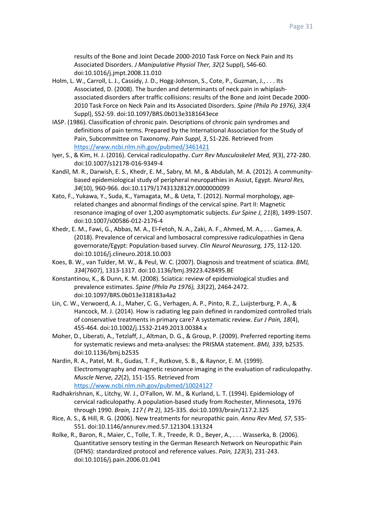results of the Bone and Joint Decade 2000-2010 Task Force on Neck Pain and Its Associated Disorders. *J Manipulative Physiol Ther, 32*(2 Suppl), S46-60. doi:10.1016/j.jmpt.2008.11.010

- Holm, L. W., Carroll, L. J., Cassidy, J. D., Hogg-Johnson, S., Cote, P., Guzman, J., . . . Its Associated, D. (2008). The burden and determinants of neck pain in whiplashassociated disorders after traffic collisions: results of the Bone and Joint Decade 2000- 2010 Task Force on Neck Pain and Its Associated Disorders. *Spine (Phila Pa 1976), 33*(4 Suppl), S52-59. doi:10.1097/BRS.0b013e3181643ece
- IASP. (1986). Classification of chronic pain. Descriptions of chronic pain syndromes and definitions of pain terms. Prepared by the International Association for the Study of Pain, Subcommittee on Taxonomy. *Pain Suppl, 3*, S1-226. Retrieved from https://www.ncbi.nlm.nih.gov/pubmed/3461421
- Iyer, S., & Kim, H. J. (2016). Cervical radiculopathy. *Curr Rev Musculoskelet Med, 9*(3), 272-280. doi:10.1007/s12178-016-9349-4
- Kandil, M. R., Darwish, E. S., Khedr, E. M., Sabry, M. M., & Abdulah, M. A. (2012). A communitybased epidemiological study of peripheral neuropathies in Assiut, Egypt. *Neurol Res, 34*(10), 960-966. doi:10.1179/1743132812Y.0000000099
- Kato, F., Yukawa, Y., Suda, K., Yamagata, M., & Ueta, T. (2012). Normal morphology, agerelated changes and abnormal findings of the cervical spine. Part II: Magnetic resonance imaging of over 1,200 asymptomatic subjects. *Eur Spine J, 21*(8), 1499-1507. doi:10.1007/s00586-012-2176-4
- Khedr, E. M., Fawi, G., Abbas, M. A., El-Fetoh, N. A., Zaki, A. F., Ahmed, M. A., . . . Gamea, A. (2018). Prevalence of cervical and lumbosacral compressive radiculopathies in Qena governorate/Egypt: Population-based survey. *Clin Neurol Neurosurg, 175*, 112-120. doi:10.1016/j.clineuro.2018.10.003
- Koes, B. W., van Tulder, M. W., & Peul, W. C. (2007). Diagnosis and treatment of sciatica. *BMJ, 334*(7607), 1313-1317. doi:10.1136/bmj.39223.428495.BE
- Konstantinou, K., & Dunn, K. M. (2008). Sciatica: review of epidemiological studies and prevalence estimates. *Spine (Phila Pa 1976), 33*(22), 2464-2472. doi:10.1097/BRS.0b013e318183a4a2
- Lin, C. W., Verwoerd, A. J., Maher, C. G., Verhagen, A. P., Pinto, R. Z., Luijsterburg, P. A., & Hancock, M. J. (2014). How is radiating leg pain defined in randomized controlled trials of conservative treatments in primary care? A systematic review. *Eur J Pain, 18*(4), 455-464. doi:10.1002/j.1532-2149.2013.00384.x
- Moher, D., Liberati, A., Tetzlaff, J., Altman, D. G., & Group, P. (2009). Preferred reporting items for systematic reviews and meta-analyses: the PRISMA statement. *BMJ, 339*, b2535. doi:10.1136/bmj.b2535
- Nardin, R. A., Patel, M. R., Gudas, T. F., Rutkove, S. B., & Raynor, E. M. (1999). Electromyography and magnetic resonance imaging in the evaluation of radiculopathy. *Muscle Nerve, 22*(2), 151-155. Retrieved from https://www.ncbi.nlm.nih.gov/pubmed/10024127
- Radhakrishnan, K., Litchy, W. J., O'Fallon, W. M., & Kurland, L. T. (1994). Epidemiology of cervical radiculopathy. A population-based study from Rochester, Minnesota, 1976 through 1990. *Brain, 117 ( Pt 2)*, 325-335. doi:10.1093/brain/117.2.325
- Rice, A. S., & Hill, R. G. (2006). New treatments for neuropathic pain. *Annu Rev Med, 57*, 535- 551. doi:10.1146/annurev.med.57.121304.131324
- Rolke, R., Baron, R., Maier, C., Tolle, T. R., Treede, R. D., Beyer, A., . . . Wasserka, B. (2006). Quantitative sensory testing in the German Research Network on Neuropathic Pain (DFNS): standardized protocol and reference values. *Pain, 123*(3), 231-243. doi:10.1016/j.pain.2006.01.041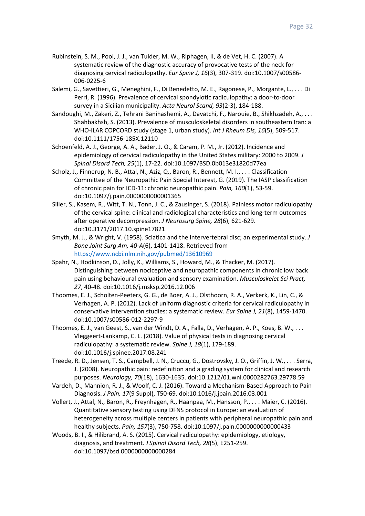- Rubinstein, S. M., Pool, J. J., van Tulder, M. W., Riphagen, II, & de Vet, H. C. (2007). A systematic review of the diagnostic accuracy of provocative tests of the neck for diagnosing cervical radiculopathy. *Eur Spine J, 16*(3), 307-319. doi:10.1007/s00586- 006-0225-6
- Salemi, G., Savettieri, G., Meneghini, F., Di Benedetto, M. E., Ragonese, P., Morgante, L., . . . Di Perri, R. (1996). Prevalence of cervical spondylotic radiculopathy: a door-to-door survey in a Sicilian municipality. *Acta Neurol Scand, 93*(2-3), 184-188.
- Sandoughi, M., Zakeri, Z., Tehrani Banihashemi, A., Davatchi, F., Narouie, B., Shikhzadeh, A., . . . Shahbakhsh, S. (2013). Prevalence of musculoskeletal disorders in southeastern Iran: a WHO-ILAR COPCORD study (stage 1, urban study). *Int J Rheum Dis, 16*(5), 509-517. doi:10.1111/1756-185X.12110
- Schoenfeld, A. J., George, A. A., Bader, J. O., & Caram, P. M., Jr. (2012). Incidence and epidemiology of cervical radiculopathy in the United States military: 2000 to 2009. *J Spinal Disord Tech, 25*(1), 17-22. doi:10.1097/BSD.0b013e31820d77ea
- Scholz, J., Finnerup, N. B., Attal, N., Aziz, Q., Baron, R., Bennett, M. I., . . . Classification Committee of the Neuropathic Pain Special Interest, G. (2019). The IASP classification of chronic pain for ICD-11: chronic neuropathic pain. *Pain, 160*(1), 53-59. doi:10.1097/j.pain.0000000000001365
- Siller, S., Kasem, R., Witt, T. N., Tonn, J. C., & Zausinger, S. (2018). Painless motor radiculopathy of the cervical spine: clinical and radiological characteristics and long-term outcomes after operative decompression. *J Neurosurg Spine, 28*(6), 621-629. doi:10.3171/2017.10.spine17821
- Smyth, M. J., & Wright, V. (1958). Sciatica and the intervertebral disc; an experimental study. *J Bone Joint Surg Am, 40-A*(6), 1401-1418. Retrieved from https://www.ncbi.nlm.nih.gov/pubmed/13610969
- Spahr, N., Hodkinson, D., Jolly, K., Williams, S., Howard, M., & Thacker, M. (2017). Distinguishing between nociceptive and neuropathic components in chronic low back pain using behavioural evaluation and sensory examination. *Musculoskelet Sci Pract, 27*, 40-48. doi:10.1016/j.msksp.2016.12.006
- Thoomes, E. J., Scholten-Peeters, G. G., de Boer, A. J., Olsthoorn, R. A., Verkerk, K., Lin, C., & Verhagen, A. P. (2012). Lack of uniform diagnostic criteria for cervical radiculopathy in conservative intervention studies: a systematic review. *Eur Spine J, 21*(8), 1459-1470. doi:10.1007/s00586-012-2297-9
- Thoomes, E. J., van Geest, S., van der Windt, D. A., Falla, D., Verhagen, A. P., Koes, B. W., . . . Vleggeert-Lankamp, C. L. (2018). Value of physical tests in diagnosing cervical radiculopathy: a systematic review. *Spine J, 18*(1), 179-189. doi:10.1016/j.spinee.2017.08.241
- Treede, R. D., Jensen, T. S., Campbell, J. N., Cruccu, G., Dostrovsky, J. O., Griffin, J. W., . . . Serra, J. (2008). Neuropathic pain: redefinition and a grading system for clinical and research purposes. *Neurology, 70*(18), 1630-1635. doi:10.1212/01.wnl.0000282763.29778.59
- Vardeh, D., Mannion, R. J., & Woolf, C. J. (2016). Toward a Mechanism-Based Approach to Pain Diagnosis. *J Pain, 17*(9 Suppl), T50-69. doi:10.1016/j.jpain.2016.03.001
- Vollert, J., Attal, N., Baron, R., Freynhagen, R., Haanpaa, M., Hansson, P., . . . Maier, C. (2016). Quantitative sensory testing using DFNS protocol in Europe: an evaluation of heterogeneity across multiple centers in patients with peripheral neuropathic pain and healthy subjects. *Pain, 157*(3), 750-758. doi:10.1097/j.pain.0000000000000433
- Woods, B. I., & Hilibrand, A. S. (2015). Cervical radiculopathy: epidemiology, etiology, diagnosis, and treatment. *J Spinal Disord Tech, 28*(5), E251-259. doi:10.1097/bsd.0000000000000284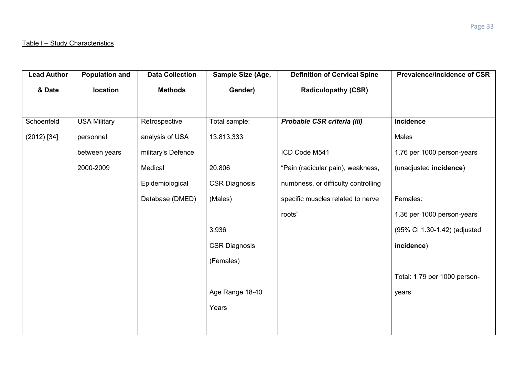| <b>Lead Author</b> | <b>Population and</b> | <b>Data Collection</b> | Sample Size (Age,    | <b>Definition of Cervical Spine</b> | <b>Prevalence/Incidence of CSR</b> |
|--------------------|-----------------------|------------------------|----------------------|-------------------------------------|------------------------------------|
| & Date             | location              | <b>Methods</b>         | Gender)              | <b>Radiculopathy (CSR)</b>          |                                    |
|                    |                       |                        |                      |                                     |                                    |
| Schoenfeld         | <b>USA Military</b>   | Retrospective          | Total sample:        | Probable CSR criteria (iii)         | Incidence                          |
| $(2012)$ [34]      | personnel             | analysis of USA        | 13,813,333           |                                     | Males                              |
|                    | between years         | military's Defence     |                      | ICD Code M541                       | 1.76 per 1000 person-years         |
|                    | 2000-2009             | Medical                | 20,806               | "Pain (radicular pain), weakness,   | (unadjusted incidence)             |
|                    |                       | Epidemiological        | <b>CSR Diagnosis</b> | numbness, or difficulty controlling |                                    |
|                    |                       | Database (DMED)        | (Males)              | specific muscles related to nerve   | Females:                           |
|                    |                       |                        |                      | roots"                              | 1.36 per 1000 person-years         |
|                    |                       |                        | 3,936                |                                     | (95% Cl 1.30-1.42) (adjusted       |
|                    |                       |                        | <b>CSR Diagnosis</b> |                                     | incidence)                         |
|                    |                       |                        | (Females)            |                                     |                                    |
|                    |                       |                        |                      |                                     | Total: 1.79 per 1000 person-       |
|                    |                       |                        | Age Range 18-40      |                                     | years                              |
|                    |                       |                        | Years                |                                     |                                    |
|                    |                       |                        |                      |                                     |                                    |
|                    |                       |                        |                      |                                     |                                    |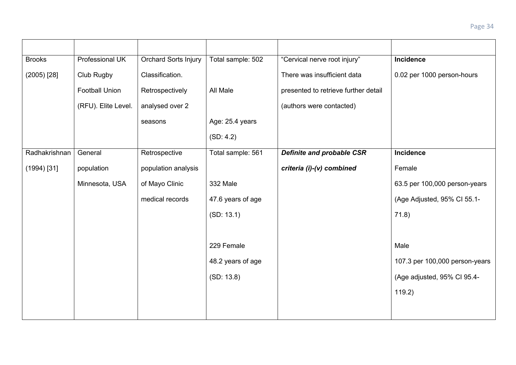| <b>Brooks</b> | Professional UK       | Orchard Sorts Injury | Total sample: 502 | "Cervical nerve root injury"         | Incidence                      |
|---------------|-----------------------|----------------------|-------------------|--------------------------------------|--------------------------------|
| $(2005)$ [28] | Club Rugby            | Classification.      |                   | There was insufficient data          | 0.02 per 1000 person-hours     |
|               | <b>Football Union</b> | Retrospectively      | All Male          | presented to retrieve further detail |                                |
|               | (RFU). Elite Level.   | analysed over 2      |                   | (authors were contacted)             |                                |
|               |                       | seasons              | Age: 25.4 years   |                                      |                                |
|               |                       |                      | (SD: 4.2)         |                                      |                                |
| Radhakrishnan | General               | Retrospective        | Total sample: 561 | Definite and probable CSR            | Incidence                      |
| $(1994)$ [31] | population            | population analysis  |                   | criteria (i)-(v) combined            | Female                         |
|               | Minnesota, USA        | of Mayo Clinic       | 332 Male          |                                      | 63.5 per 100,000 person-years  |
|               |                       | medical records      | 47.6 years of age |                                      | (Age Adjusted, 95% CI 55.1-    |
|               |                       |                      | (SD: 13.1)        |                                      | 71.8)                          |
|               |                       |                      |                   |                                      |                                |
|               |                       |                      | 229 Female        |                                      | Male                           |
|               |                       |                      | 48.2 years of age |                                      | 107.3 per 100,000 person-years |
|               |                       |                      | (SD: 13.8)        |                                      | (Age adjusted, 95% Cl 95.4-    |
|               |                       |                      |                   |                                      | 119.2)                         |
|               |                       |                      |                   |                                      |                                |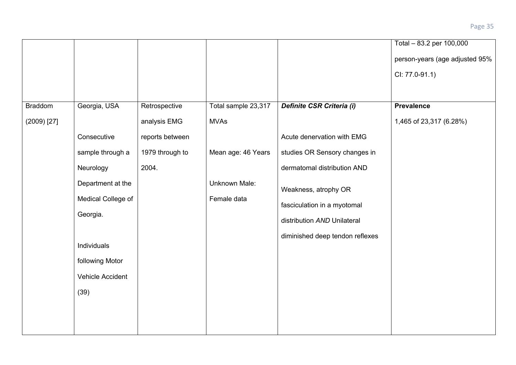|                |                    |                 |                     |                                 | Total - 83.2 per 100,000       |
|----------------|--------------------|-----------------|---------------------|---------------------------------|--------------------------------|
|                |                    |                 |                     |                                 | person-years (age adjusted 95% |
|                |                    |                 |                     |                                 | CI: 77.0-91.1)                 |
|                |                    |                 |                     |                                 |                                |
| <b>Braddom</b> | Georgia, USA       | Retrospective   | Total sample 23,317 | Definite CSR Criteria (i)       | <b>Prevalence</b>              |
| $(2009)$ [27]  |                    | analysis EMG    | <b>MVAs</b>         |                                 | 1,465 of 23,317 (6.28%)        |
|                | Consecutive        | reports between |                     | Acute denervation with EMG      |                                |
|                | sample through a   | 1979 through to | Mean age: 46 Years  | studies OR Sensory changes in   |                                |
|                | Neurology          | 2004.           |                     | dermatomal distribution AND     |                                |
|                | Department at the  |                 | Unknown Male:       | Weakness, atrophy OR            |                                |
|                | Medical College of |                 | Female data         | fasciculation in a myotomal     |                                |
|                | Georgia.           |                 |                     | distribution AND Unilateral     |                                |
|                |                    |                 |                     | diminished deep tendon reflexes |                                |
|                | Individuals        |                 |                     |                                 |                                |
|                | following Motor    |                 |                     |                                 |                                |
|                | Vehicle Accident   |                 |                     |                                 |                                |
|                | (39)               |                 |                     |                                 |                                |
|                |                    |                 |                     |                                 |                                |
|                |                    |                 |                     |                                 |                                |
|                |                    |                 |                     |                                 |                                |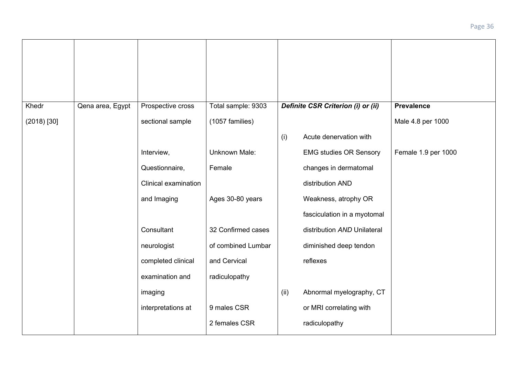| Khedr         | Qena area, Egypt | Prospective cross    | Total sample: 9303   |      | Definite CSR Criterion (i) or (ii) | <b>Prevalence</b>   |
|---------------|------------------|----------------------|----------------------|------|------------------------------------|---------------------|
| $(2018)$ [30] |                  | sectional sample     | (1057 families)      |      |                                    | Male 4.8 per 1000   |
|               |                  |                      |                      | (i)  | Acute denervation with             |                     |
|               |                  | Interview,           | <b>Unknown Male:</b> |      | <b>EMG studies OR Sensory</b>      | Female 1.9 per 1000 |
|               |                  | Questionnaire,       | Female               |      | changes in dermatomal              |                     |
|               |                  | Clinical examination |                      |      | distribution AND                   |                     |
|               |                  | and Imaging          | Ages 30-80 years     |      | Weakness, atrophy OR               |                     |
|               |                  |                      |                      |      | fasciculation in a myotomal        |                     |
|               |                  | Consultant           | 32 Confirmed cases   |      | distribution AND Unilateral        |                     |
|               |                  | neurologist          | of combined Lumbar   |      | diminished deep tendon             |                     |
|               |                  | completed clinical   | and Cervical         |      | reflexes                           |                     |
|               |                  | examination and      | radiculopathy        |      |                                    |                     |
|               |                  | imaging              |                      | (ii) | Abnormal myelography, CT           |                     |
|               |                  | interpretations at   | 9 males CSR          |      | or MRI correlating with            |                     |
|               |                  |                      | 2 females CSR        |      | radiculopathy                      |                     |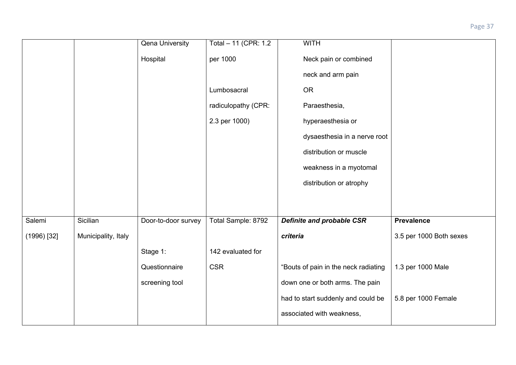|               |                     | <b>Qena University</b> | Total - 11 (CPR: 1.2 | <b>WITH</b>                          |                         |
|---------------|---------------------|------------------------|----------------------|--------------------------------------|-------------------------|
|               |                     | Hospital               | per 1000             | Neck pain or combined                |                         |
|               |                     |                        |                      | neck and arm pain                    |                         |
|               |                     |                        | Lumbosacral          | <b>OR</b>                            |                         |
|               |                     |                        | radiculopathy (CPR:  | Paraesthesia,                        |                         |
|               |                     |                        | 2.3 per 1000)        | hyperaesthesia or                    |                         |
|               |                     |                        |                      | dysaesthesia in a nerve root         |                         |
|               |                     |                        |                      | distribution or muscle               |                         |
|               |                     |                        |                      | weakness in a myotomal               |                         |
|               |                     |                        |                      | distribution or atrophy              |                         |
|               |                     |                        |                      |                                      |                         |
|               | Sicilian            |                        |                      |                                      |                         |
| Salemi        |                     | Door-to-door survey    | Total Sample: 8792   | <b>Definite and probable CSR</b>     | <b>Prevalence</b>       |
| $(1996)$ [32] | Municipality, Italy |                        |                      | criteria                             | 3.5 per 1000 Both sexes |
|               |                     | Stage 1:               | 142 evaluated for    |                                      |                         |
|               |                     | Questionnaire          | <b>CSR</b>           | "Bouts of pain in the neck radiating | 1.3 per 1000 Male       |
|               |                     | screening tool         |                      | down one or both arms. The pain      |                         |
|               |                     |                        |                      | had to start suddenly and could be   | 5.8 per 1000 Female     |
|               |                     |                        |                      | associated with weakness,            |                         |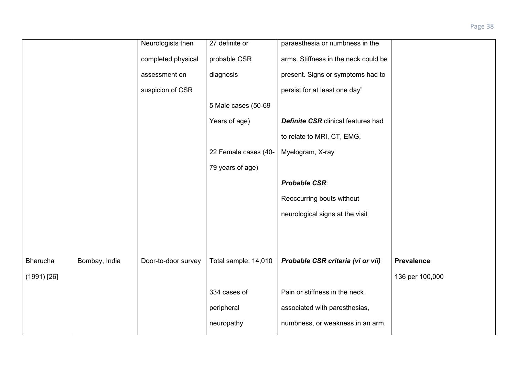|                 |               | Neurologists then   | 27 definite or       | paraesthesia or numbness in the           |                   |
|-----------------|---------------|---------------------|----------------------|-------------------------------------------|-------------------|
|                 |               |                     |                      |                                           |                   |
|                 |               | completed physical  | probable CSR         | arms. Stiffness in the neck could be      |                   |
|                 |               | assessment on       | diagnosis            | present. Signs or symptoms had to         |                   |
|                 |               | suspicion of CSR    |                      | persist for at least one day"             |                   |
|                 |               |                     | 5 Male cases (50-69  |                                           |                   |
|                 |               |                     | Years of age)        | <b>Definite CSR</b> clinical features had |                   |
|                 |               |                     |                      | to relate to MRI, CT, EMG,                |                   |
|                 |               |                     | 22 Female cases (40- | Myelogram, X-ray                          |                   |
|                 |               |                     | 79 years of age)     |                                           |                   |
|                 |               |                     |                      | <b>Probable CSR:</b>                      |                   |
|                 |               |                     |                      | Reoccurring bouts without                 |                   |
|                 |               |                     |                      | neurological signs at the visit           |                   |
|                 |               |                     |                      |                                           |                   |
|                 |               |                     |                      |                                           |                   |
| <b>Bharucha</b> | Bombay, India | Door-to-door survey | Total sample: 14,010 | Probable CSR criteria (vi or vii)         | <b>Prevalence</b> |
| $(1991)$ [26]   |               |                     |                      |                                           | 136 per 100,000   |
|                 |               |                     | 334 cases of         | Pain or stiffness in the neck             |                   |
|                 |               |                     | peripheral           | associated with paresthesias,             |                   |
|                 |               |                     | neuropathy           | numbness, or weakness in an arm.          |                   |
|                 |               |                     |                      |                                           |                   |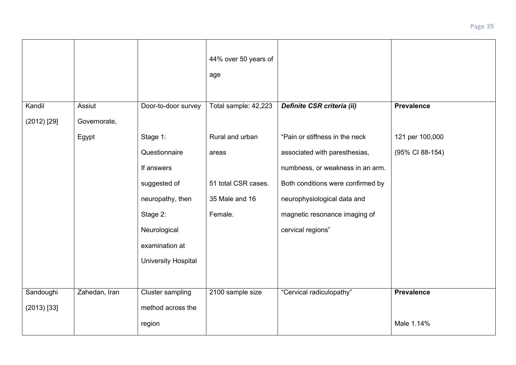|               |               |                            | 44% over 50 years of<br>age |                                   |                   |
|---------------|---------------|----------------------------|-----------------------------|-----------------------------------|-------------------|
| Kandil        | Assiut        | Door-to-door survey        | Total sample: 42,223        | Definite CSR criteria (ii)        | <b>Prevalence</b> |
| $(2012)$ [29] | Governorate,  |                            |                             |                                   |                   |
|               | Egypt         | Stage 1:                   | Rural and urban             | "Pain or stiffness in the neck    | 121 per 100,000   |
|               |               | Questionnaire              | areas                       | associated with paresthesias,     | (95% CI 88-154)   |
|               |               | If answers                 |                             | numbness, or weakness in an arm.  |                   |
|               |               | suggested of               | 51 total CSR cases.         | Both conditions were confirmed by |                   |
|               |               | neuropathy, then           | 35 Male and 16              | neurophysiological data and       |                   |
|               |               | Stage 2:                   | Female.                     | magnetic resonance imaging of     |                   |
|               |               | Neurological               |                             | cervical regions"                 |                   |
|               |               | examination at             |                             |                                   |                   |
|               |               | <b>University Hospital</b> |                             |                                   |                   |
|               |               |                            |                             |                                   |                   |
| Sandoughi     | Zahedan, Iran | Cluster sampling           | 2100 sample size            | "Cervical radiculopathy"          | <b>Prevalence</b> |
| $(2013)$ [33] |               | method across the          |                             |                                   |                   |
|               |               | region                     |                             |                                   | Male 1.14%        |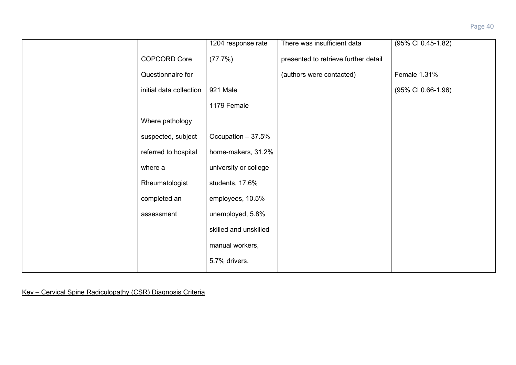|  |                         | 1204 response rate    | There was insufficient data          | (95% CI 0.45-1.82) |
|--|-------------------------|-----------------------|--------------------------------------|--------------------|
|  | <b>COPCORD Core</b>     | (77.7%)               | presented to retrieve further detail |                    |
|  | Questionnaire for       |                       | (authors were contacted)             | Female 1.31%       |
|  | initial data collection | 921 Male              |                                      | (95% CI 0.66-1.96) |
|  |                         | 1179 Female           |                                      |                    |
|  | Where pathology         |                       |                                      |                    |
|  | suspected, subject      | Occupation - 37.5%    |                                      |                    |
|  | referred to hospital    | home-makers, 31.2%    |                                      |                    |
|  | where a                 | university or college |                                      |                    |
|  | Rheumatologist          | students, 17.6%       |                                      |                    |
|  | completed an            | employees, 10.5%      |                                      |                    |
|  | assessment              | unemployed, 5.8%      |                                      |                    |
|  |                         | skilled and unskilled |                                      |                    |
|  |                         | manual workers,       |                                      |                    |
|  |                         | 5.7% drivers.         |                                      |                    |
|  |                         |                       |                                      |                    |

Key – Cervical Spine Radiculopathy (CSR) Diagnosis Criteria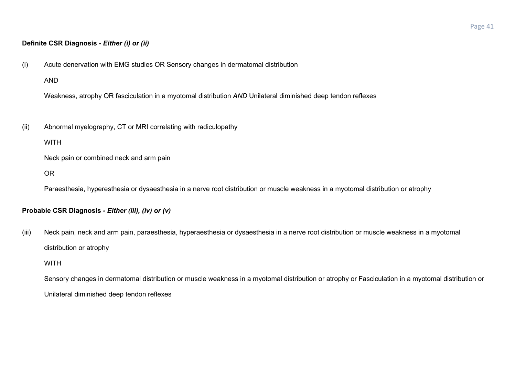## **Definite CSR Diagnosis -** *Either (i) or (ii)*

(i) Acute denervation with EMG studies OR Sensory changes in dermatomal distribution

AND

Weakness, atrophy OR fasciculation in a myotomal distribution *AND* Unilateral diminished deep tendon reflexes

(ii) Abnormal myelography, CT or MRI correlating with radiculopathy

**WITH** 

Neck pain or combined neck and arm pain

OR

Paraesthesia, hyperesthesia or dysaesthesia in a nerve root distribution or muscle weakness in a myotomal distribution or atrophy

## **Probable CSR Diagnosis** *- Either (iii), (iv) or (v)*

(iii) Neck pain, neck and arm pain, paraesthesia, hyperaesthesia or dysaesthesia in a nerve root distribution or muscle weakness in a myotomal distribution or atrophy

**WITH** 

Sensory changes in dermatomal distribution or muscle weakness in a myotomal distribution or atrophy or Fasciculation in a myotomal distribution or Unilateral diminished deep tendon reflexes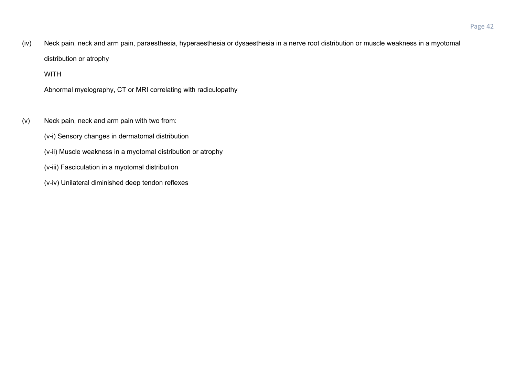(iv) Neck pain, neck and arm pain, paraesthesia, hyperaesthesia or dysaesthesia in a nerve root distribution or muscle weakness in a myotomal distribution or atrophy

## WITH

Abnormal myelography, CT or MRI correlating with radiculopathy

- (v) Neck pain, neck and arm pain with two from:
	- (v-i) Sensory changes in dermatomal distribution
	- (v-ii) Muscle weakness in a myotomal distribution or atrophy
	- (v-iii) Fasciculation in a myotomal distribution
	- (v-iv) Unilateral diminished deep tendon reflexes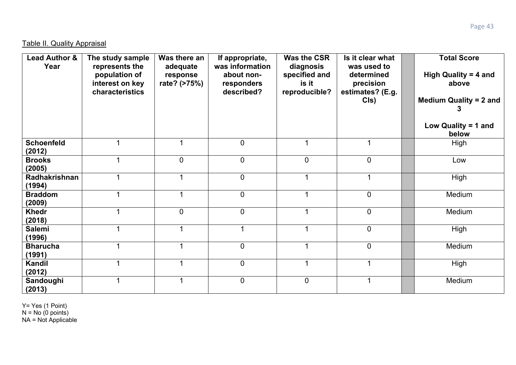| <b>Lead Author &amp;</b><br>Year | The study sample<br>represents the<br>population of<br>interest on key<br>characteristics | Was there an<br>adequate<br>response<br>rate? (>75%) | If appropriate,<br>was information<br>about non-<br>responders<br>described? | <b>Was the CSR</b><br>diagnosis<br>specified and<br>is it<br>reproducible? | Is it clear what<br>was used to<br>determined<br>precision<br>estimates? (E.g.<br>C(s) | <b>Total Score</b><br>High Quality = 4 and<br>above<br><b>Medium Quality = 2 and</b><br>Low Quality = 1 and<br>below |
|----------------------------------|-------------------------------------------------------------------------------------------|------------------------------------------------------|------------------------------------------------------------------------------|----------------------------------------------------------------------------|----------------------------------------------------------------------------------------|----------------------------------------------------------------------------------------------------------------------|
| <b>Schoenfeld</b><br>(2012)      |                                                                                           | 1                                                    | 0                                                                            |                                                                            |                                                                                        | High                                                                                                                 |
| <b>Brooks</b><br>(2005)          |                                                                                           | $\overline{0}$                                       | $\mathbf 0$                                                                  | $\mathbf 0$                                                                | $\mathbf 0$                                                                            | Low                                                                                                                  |
| Radhakrishnan<br>(1994)          |                                                                                           |                                                      | $\mathbf 0$                                                                  |                                                                            |                                                                                        | High                                                                                                                 |
| <b>Braddom</b><br>(2009)         |                                                                                           |                                                      | $\boldsymbol{0}$                                                             |                                                                            | $\mathbf 0$                                                                            | Medium                                                                                                               |
| <b>Khedr</b><br>(2018)           |                                                                                           | $\mathbf 0$                                          | $\mathbf 0$                                                                  |                                                                            | $\boldsymbol{0}$                                                                       | Medium                                                                                                               |
| <b>Salemi</b><br>(1996)          |                                                                                           | -4                                                   | ◢                                                                            |                                                                            | $\overline{0}$                                                                         | High                                                                                                                 |
| <b>Bharucha</b><br>(1991)        |                                                                                           |                                                      | $\mathbf 0$                                                                  |                                                                            | $\overline{0}$                                                                         | Medium                                                                                                               |
| Kandil<br>(2012)                 |                                                                                           | 1                                                    | $\mathbf 0$                                                                  |                                                                            |                                                                                        | High                                                                                                                 |
| Sandoughi<br>(2013)              |                                                                                           | 1                                                    | $\mathbf 0$                                                                  | $\mathbf 0$                                                                | 1                                                                                      | Medium                                                                                                               |

Y= Yes (1 Point)  $N = No (0 points)$ 

NA = Not Applicable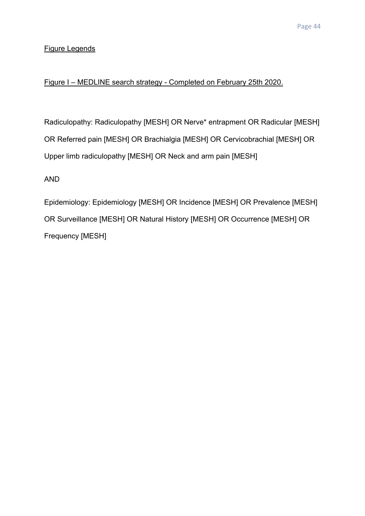# Figure Legends

# Figure I – MEDLINE search strategy - Completed on February 25th 2020.

Radiculopathy: Radiculopathy [MESH] OR Nerve\* entrapment OR Radicular [MESH] OR Referred pain [MESH] OR Brachialgia [MESH] OR Cervicobrachial [MESH] OR Upper limb radiculopathy [MESH] OR Neck and arm pain [MESH]

AND

Epidemiology: Epidemiology [MESH] OR Incidence [MESH] OR Prevalence [MESH] OR Surveillance [MESH] OR Natural History [MESH] OR Occurrence [MESH] OR Frequency [MESH]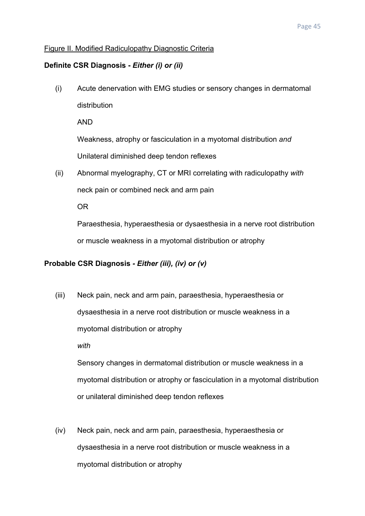## Figure II. Modified Radiculopathy Diagnostic Criteria

#### **Definite CSR Diagnosis -** *Either (i) or (ii)*

(i) Acute denervation with EMG studies or sensory changes in dermatomal distribution

AND

Weakness, atrophy or fasciculation in a myotomal distribution *and* Unilateral diminished deep tendon reflexes

(ii) Abnormal myelography, CT or MRI correlating with radiculopathy *with* neck pain or combined neck and arm pain

OR

Paraesthesia, hyperaesthesia or dysaesthesia in a nerve root distribution or muscle weakness in a myotomal distribution or atrophy

### **Probable CSR Diagnosis** *- Either (iii), (iv) or (v)*

(iii) Neck pain, neck and arm pain, paraesthesia, hyperaesthesia or dysaesthesia in a nerve root distribution or muscle weakness in a myotomal distribution or atrophy *with*

Sensory changes in dermatomal distribution or muscle weakness in a myotomal distribution or atrophy or fasciculation in a myotomal distribution or unilateral diminished deep tendon reflexes

(iv) Neck pain, neck and arm pain, paraesthesia, hyperaesthesia or dysaesthesia in a nerve root distribution or muscle weakness in a myotomal distribution or atrophy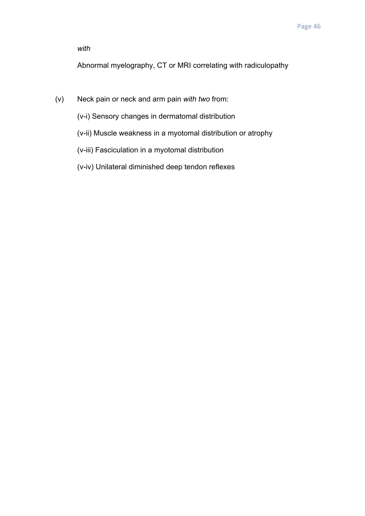*with*

Abnormal myelography, CT or MRI correlating with radiculopathy

- (v) Neck pain or neck and arm pain *with two* from:
	- (v-i) Sensory changes in dermatomal distribution
	- (v-ii) Muscle weakness in a myotomal distribution or atrophy
	- (v-iii) Fasciculation in a myotomal distribution
	- (v-iv) Unilateral diminished deep tendon reflexes